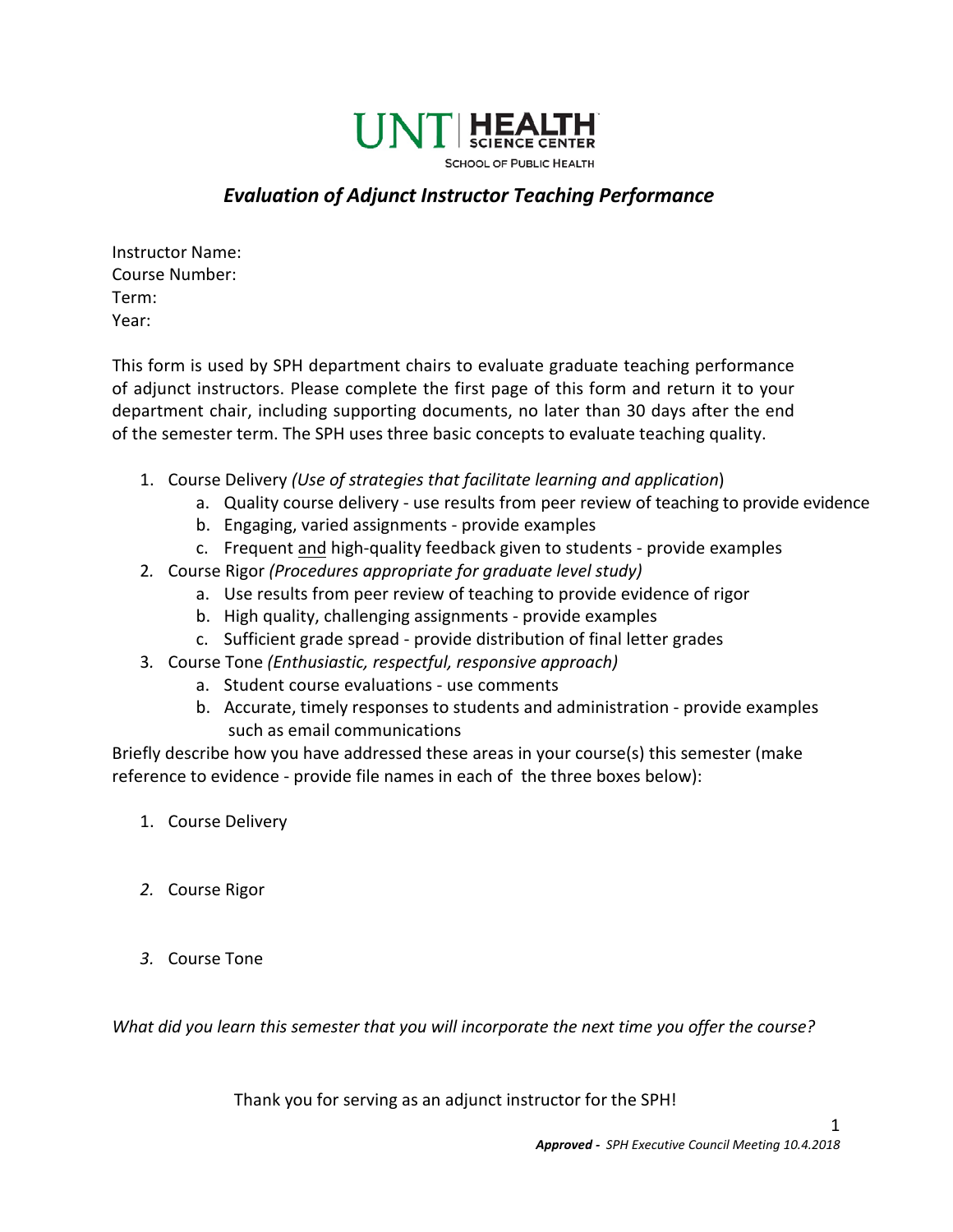

## *Evaluation of Adjunct Instructor Teaching Performance*

Instructor Name: Course Number: Term: Year:

This form is used by SPH department chairs to evaluate graduate teaching performance of adjunct instructors. Please complete the first page of this form and return it to your department chair, including supporting documents, no later than 30 days after the end of the semester term. The SPH uses three basic concepts to evaluate teaching quality.

- 1. Course Delivery *(Use of strategies that facilitate learning and application*)
	- a. Quality course delivery use results from peer review of teaching to provide evidence
	- b. Engaging, varied assignments provide examples
	- c. Frequent and high-quality feedback given to students provide examples
- 2*.* Course Rigor *(Procedures appropriate for graduate level study)*
	- a. Use results from peer review of teaching to provide evidence of rigor
	- b. High quality, challenging assignments provide examples
	- c. Sufficient grade spread provide distribution of final letter grades
- 3*.* Course Tone *(Enthusiastic, respectful, responsive approach)*
	- a. Student course evaluations use comments
	- b. Accurate, timely responses to students and administration provide examples such as email communications

Briefly describe how you have addressed these areas in your course(s) this semester (make reference to evidence - provide file names in each of the three boxes below):

- 1. Course Delivery
- *2.* Course Rigor
- *3.* Course Tone

*What did you learn this semester that you will incorporate the next time you offer the course?*

Thank you for serving as an adjunct instructor for the SPH!